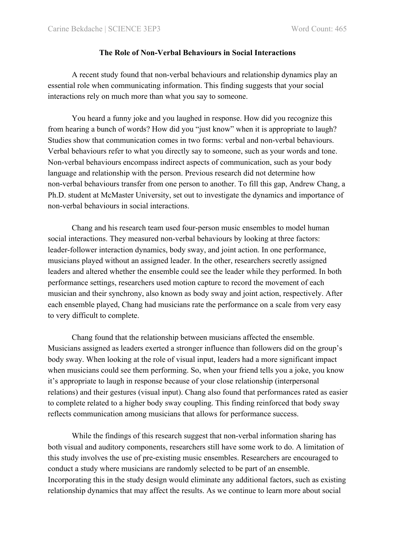## **The Role of Non-Verbal Behaviours in Social Interactions**

A recent study found that non-verbal behaviours and relationship dynamics play an essential role when communicating information. This finding suggests that your social interactions rely on much more than what you say to someone.

You heard a funny joke and you laughed in response. How did you recognize this from hearing a bunch of words? How did you "just know" when it is appropriate to laugh? Studies show that communication comes in two forms: verbal and non-verbal behaviours. Verbal behaviours refer to what you directly say to someone, such as your words and tone. Non-verbal behaviours encompass indirect aspects of communication, such as your body language and relationship with the person. Previous research did not determine how non-verbal behaviours transfer from one person to another. To fill this gap, Andrew Chang, a Ph.D. student at McMaster University, set out to investigate the dynamics and importance of non-verbal behaviours in social interactions.

Chang and his research team used four-person music ensembles to model human social interactions. They measured non-verbal behaviours by looking at three factors: leader-follower interaction dynamics, body sway, and joint action. In one performance, musicians played without an assigned leader. In the other, researchers secretly assigned leaders and altered whether the ensemble could see the leader while they performed. In both performance settings, researchers used motion capture to record the movement of each musician and their synchrony, also known as body sway and joint action, respectively. After each ensemble played, Chang had musicians rate the performance on a scale from very easy to very difficult to complete.

Chang found that the relationship between musicians affected the ensemble. Musicians assigned as leaders exerted a stronger influence than followers did on the group's body sway. When looking at the role of visual input, leaders had a more significant impact when musicians could see them performing. So, when your friend tells you a joke, you know it's appropriate to laugh in response because of your close relationship (interpersonal relations) and their gestures (visual input). Chang also found that performances rated as easier to complete related to a higher body sway coupling. This finding reinforced that body sway reflects communication among musicians that allows for performance success.

While the findings of this research suggest that non-verbal information sharing has both visual and auditory components, researchers still have some work to do. A limitation of this study involves the use of pre-existing music ensembles. Researchers are encouraged to conduct a study where musicians are randomly selected to be part of an ensemble. Incorporating this in the study design would eliminate any additional factors, such as existing relationship dynamics that may affect the results. As we continue to learn more about social